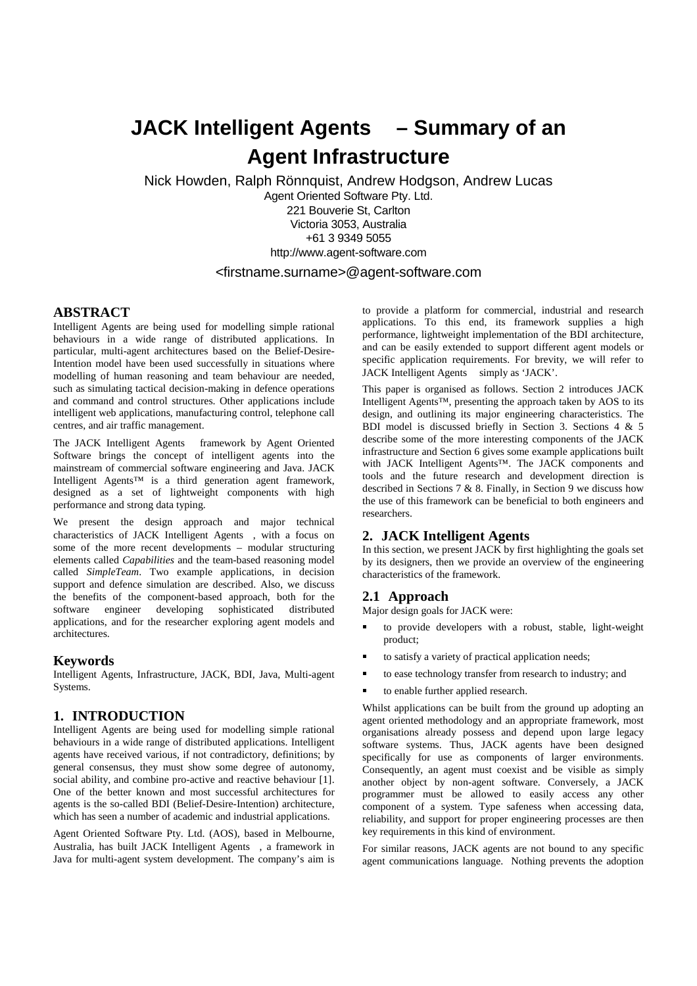# **JACK Intelligent Agents – Summary of an Agent Infrastructure**

Nick Howden, Ralph Rönnquist, Andrew Hodgson, Andrew Lucas

Agent Oriented Software Pty. Ltd. 221 Bouverie St, Carlton Victoria 3053, Australia +61 3 9349 5055 http://www.agent-software.com

## <firstname.surname>@agent-software.com

## **ABSTRACT**

Intelligent Agents are being used for modelling simple rational behaviours in a wide range of distributed applications. In particular, multi-agent architectures based on the Belief-Desire-Intention model have been used successfully in situations where modelling of human reasoning and team behaviour are needed, such as simulating tactical decision-making in defence operations and command and control structures. Other applications include intelligent web applications, manufacturing control, telephone call centres, and air traffic management.

The JACK Intelligent Agents™ framework by Agent Oriented Software brings the concept of intelligent agents into the mainstream of commercial software engineering and Java. JACK Intelligent Agents™ is a third generation agent framework, designed as a set of lightweight components with high performance and strong data typing.

We present the design approach and major technical characteristics of JACK Intelligent Agents™, with a focus on some of the more recent developments – modular structuring elements called *Capabilities* and the team-based reasoning model called *SimpleTeam*. Two example applications, in decision support and defence simulation are described. Also, we discuss the benefits of the component-based approach, both for the software engineer developing sophisticated distributed applications, and for the researcher exploring agent models and architectures.

#### **Keywords**

Intelligent Agents, Infrastructure, JACK, BDI, Java, Multi-agent Systems.

# **1. INTRODUCTION**

Intelligent Agents are being used for modelling simple rational behaviours in a wide range of distributed applications. Intelligent agents have received various, if not contradictory, definitions; by general consensus, they must show some degree of autonomy, social ability, and combine pro-active and reactive behaviour [1]. One of the better known and most successful architectures for agents is the so-called BDI (Belief-Desire-Intention) architecture, which has seen a number of academic and industrial applications.

Agent Oriented Software Pty. Ltd. (AOS), based in Melbourne, Australia, has built JACK Intelligent Agents™, a framework in Java for multi-agent system development. The company's aim is

to provide a platform for commercial, industrial and research applications. To this end, its framework supplies a high performance, lightweight implementation of the BDI architecture, and can be easily extended to support different agent models or specific application requirements. For brevity, we will refer to  $JACK$  Intelligent Agents<sup>TM</sup> simply as 'JACK'.

This paper is organised as follows. Section 2 introduces JACK Intelligent Agents™, presenting the approach taken by AOS to its design, and outlining its major engineering characteristics. The BDI model is discussed briefly in Section 3. Sections 4 & 5 describe some of the more interesting components of the JACK infrastructure and Section 6 gives some example applications built with JACK Intelligent Agents™. The JACK components and tools and the future research and development direction is described in Sections 7 & 8. Finally, in Section 9 we discuss how the use of this framework can be beneficial to both engineers and researchers.

# **2. JACK Intelligent Agents**

In this section, we present JACK by first highlighting the goals set by its designers, then we provide an overview of the engineering characteristics of the framework.

## **2.1 Approach**

Major design goals for JACK were:

- to provide developers with a robust, stable, light-weight product;
- to satisfy a variety of practical application needs;
- to ease technology transfer from research to industry; and
- to enable further applied research.

Whilst applications can be built from the ground up adopting an agent oriented methodology and an appropriate framework, most organisations already possess and depend upon large legacy software systems. Thus, JACK agents have been designed specifically for use as components of larger environments. Consequently, an agent must coexist and be visible as simply another object by non-agent software. Conversely, a JACK programmer must be allowed to easily access any other component of a system. Type safeness when accessing data, reliability, and support for proper engineering processes are then key requirements in this kind of environment.

For similar reasons, JACK agents are not bound to any specific agent communications language. Nothing prevents the adoption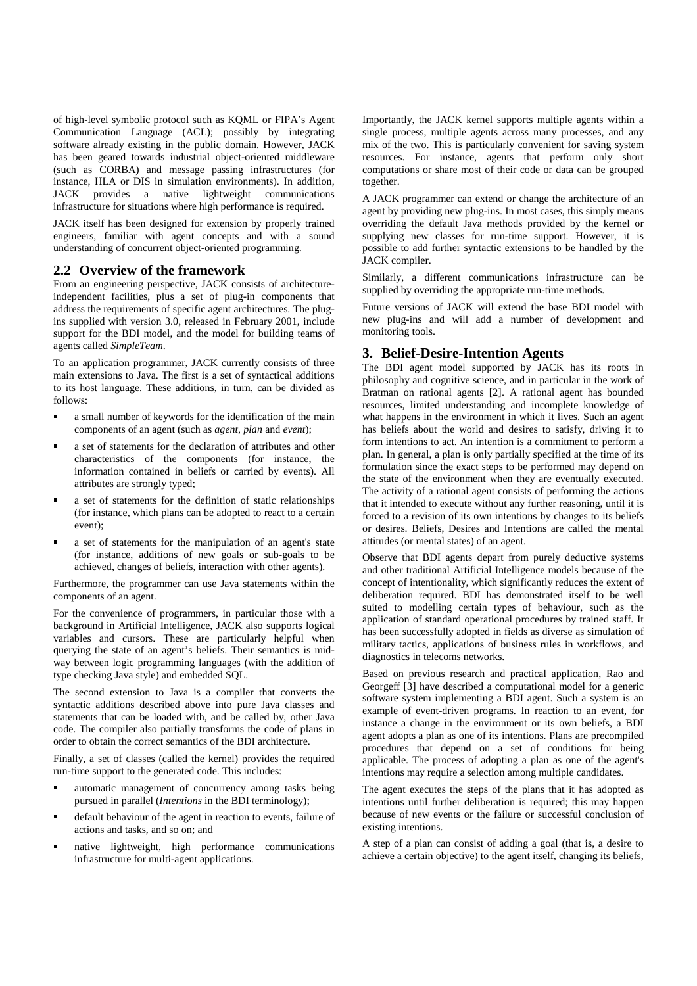of high-level symbolic protocol such as KQML or FIPA's Agent Communication Language (ACL); possibly by integrating software already existing in the public domain. However, JACK has been geared towards industrial object-oriented middleware (such as CORBA) and message passing infrastructures (for instance, HLA or DIS in simulation environments). In addition, JACK provides a native lightweight communications infrastructure for situations where high performance is required.

JACK itself has been designed for extension by properly trained engineers, familiar with agent concepts and with a sound understanding of concurrent object-oriented programming.

#### **2.2 Overview of the framework**

From an engineering perspective, JACK consists of architectureindependent facilities, plus a set of plug-in components that address the requirements of specific agent architectures. The plugins supplied with version 3.0, released in February 2001, include support for the BDI model, and the model for building teams of agents called *SimpleTeam*.

To an application programmer, JACK currently consists of three main extensions to Java. The first is a set of syntactical additions to its host language. These additions, in turn, can be divided as follows:

- a small number of keywords for the identification of the main components of an agent (such as *agent*, *plan* and *event*);
- a set of statements for the declaration of attributes and other characteristics of the components (for instance, the information contained in beliefs or carried by events). All attributes are strongly typed;
- a set of statements for the definition of static relationships (for instance, which plans can be adopted to react to a certain event);
- a set of statements for the manipulation of an agent's state (for instance, additions of new goals or sub-goals to be achieved, changes of beliefs, interaction with other agents).

Furthermore, the programmer can use Java statements within the components of an agent.

For the convenience of programmers, in particular those with a background in Artificial Intelligence, JACK also supports logical variables and cursors. These are particularly helpful when querying the state of an agent's beliefs. Their semantics is midway between logic programming languages (with the addition of type checking Java style) and embedded SQL.

The second extension to Java is a compiler that converts the syntactic additions described above into pure Java classes and statements that can be loaded with, and be called by, other Java code. The compiler also partially transforms the code of plans in order to obtain the correct semantics of the BDI architecture.

Finally, a set of classes (called the kernel) provides the required run-time support to the generated code. This includes:

- automatic management of concurrency among tasks being pursued in parallel (*Intentions* in the BDI terminology);
- default behaviour of the agent in reaction to events, failure of actions and tasks, and so on; and
- native lightweight, high performance communications infrastructure for multi-agent applications.

Importantly, the JACK kernel supports multiple agents within a single process, multiple agents across many processes, and any mix of the two. This is particularly convenient for saving system resources. For instance, agents that perform only short computations or share most of their code or data can be grouped together.

A JACK programmer can extend or change the architecture of an agent by providing new plug-ins. In most cases, this simply means overriding the default Java methods provided by the kernel or supplying new classes for run-time support. However, it is possible to add further syntactic extensions to be handled by the JACK compiler.

Similarly, a different communications infrastructure can be supplied by overriding the appropriate run-time methods.

Future versions of JACK will extend the base BDI model with new plug-ins and will add a number of development and monitoring tools.

## **3. Belief-Desire-Intention Agents**

The BDI agent model supported by JACK has its roots in philosophy and cognitive science, and in particular in the work of Bratman on rational agents [2]. A rational agent has bounded resources, limited understanding and incomplete knowledge of what happens in the environment in which it lives. Such an agent has beliefs about the world and desires to satisfy, driving it to form intentions to act. An intention is a commitment to perform a plan. In general, a plan is only partially specified at the time of its formulation since the exact steps to be performed may depend on the state of the environment when they are eventually executed. The activity of a rational agent consists of performing the actions that it intended to execute without any further reasoning, until it is forced to a revision of its own intentions by changes to its beliefs or desires. Beliefs, Desires and Intentions are called the mental attitudes (or mental states) of an agent.

Observe that BDI agents depart from purely deductive systems and other traditional Artificial Intelligence models because of the concept of intentionality, which significantly reduces the extent of deliberation required. BDI has demonstrated itself to be well suited to modelling certain types of behaviour, such as the application of standard operational procedures by trained staff. It has been successfully adopted in fields as diverse as simulation of military tactics, applications of business rules in workflows, and diagnostics in telecoms networks.

Based on previous research and practical application, Rao and Georgeff [3] have described a computational model for a generic software system implementing a BDI agent. Such a system is an example of event-driven programs. In reaction to an event, for instance a change in the environment or its own beliefs, a BDI agent adopts a plan as one of its intentions. Plans are precompiled procedures that depend on a set of conditions for being applicable. The process of adopting a plan as one of the agent's intentions may require a selection among multiple candidates.

The agent executes the steps of the plans that it has adopted as intentions until further deliberation is required; this may happen because of new events or the failure or successful conclusion of existing intentions.

A step of a plan can consist of adding a goal (that is, a desire to achieve a certain objective) to the agent itself, changing its beliefs,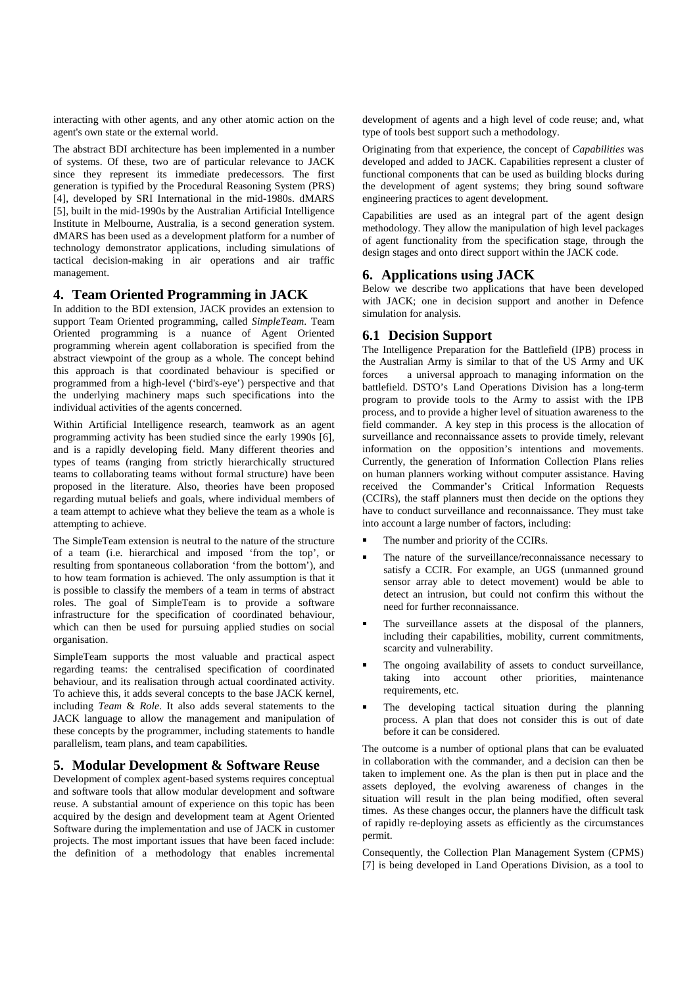interacting with other agents, and any other atomic action on the agent's own state or the external world.

The abstract BDI architecture has been implemented in a number of systems. Of these, two are of particular relevance to JACK since they represent its immediate predecessors. The first generation is typified by the Procedural Reasoning System (PRS) [4], developed by SRI International in the mid-1980s. dMARS [5], built in the mid-1990s by the Australian Artificial Intelligence Institute in Melbourne, Australia, is a second generation system. dMARS has been used as a development platform for a number of technology demonstrator applications, including simulations of tactical decision-making in air operations and air traffic management.

## **4. Team Oriented Programming in JACK**

In addition to the BDI extension, JACK provides an extension to support Team Oriented programming, called *SimpleTeam*. Team Oriented programming is a nuance of Agent Oriented programming wherein agent collaboration is specified from the abstract viewpoint of the group as a whole. The concept behind this approach is that coordinated behaviour is specified or programmed from a high-level ('bird's-eye') perspective and that the underlying machinery maps such specifications into the individual activities of the agents concerned.

Within Artificial Intelligence research, teamwork as an agent programming activity has been studied since the early 1990s [6], and is a rapidly developing field. Many different theories and types of teams (ranging from strictly hierarchically structured teams to collaborating teams without formal structure) have been proposed in the literature. Also, theories have been proposed regarding mutual beliefs and goals, where individual members of a team attempt to achieve what they believe the team as a whole is attempting to achieve.

The SimpleTeam extension is neutral to the nature of the structure of a team (i.e. hierarchical and imposed 'from the top', or resulting from spontaneous collaboration 'from the bottom'), and to how team formation is achieved. The only assumption is that it is possible to classify the members of a team in terms of abstract roles. The goal of SimpleTeam is to provide a software infrastructure for the specification of coordinated behaviour, which can then be used for pursuing applied studies on social organisation.

SimpleTeam supports the most valuable and practical aspect regarding teams: the centralised specification of coordinated behaviour, and its realisation through actual coordinated activity. To achieve this, it adds several concepts to the base JACK kernel, including *Team* & *Role*. It also adds several statements to the JACK language to allow the management and manipulation of these concepts by the programmer, including statements to handle parallelism, team plans, and team capabilities.

#### **5. Modular Development & Software Reuse**

Development of complex agent-based systems requires conceptual and software tools that allow modular development and software reuse. A substantial amount of experience on this topic has been acquired by the design and development team at Agent Oriented Software during the implementation and use of JACK in customer projects. The most important issues that have been faced include: the definition of a methodology that enables incremental development of agents and a high level of code reuse; and, what type of tools best support such a methodology.

Originating from that experience, the concept of *Capabilities* was developed and added to JACK. Capabilities represent a cluster of functional components that can be used as building blocks during the development of agent systems; they bring sound software engineering practices to agent development.

Capabilities are used as an integral part of the agent design methodology. They allow the manipulation of high level packages of agent functionality from the specification stage, through the design stages and onto direct support within the JACK code.

#### **6. Applications using JACK**

Below we describe two applications that have been developed with JACK; one in decision support and another in Defence simulation for analysis.

## **6.1 Decision Support**

The Intelligence Preparation for the Battlefield (IPB) process in the Australian Army is similar to that of the US Army and UK  $f$  forces  $\frac{a}{b}$  a universal approach to managing information on the battlefield. DSTO's Land Operations Division has a long-term program to provide tools to the Army to assist with the IPB process, and to provide a higher level of situation awareness to the field commander. A key step in this process is the allocation of surveillance and reconnaissance assets to provide timely, relevant information on the opposition's intentions and movements. Currently, the generation of Information Collection Plans relies on human planners working without computer assistance. Having received the Commander's Critical Information Requests (CCIRs), the staff planners must then decide on the options they have to conduct surveillance and reconnaissance. They must take into account a large number of factors, including:

- The number and priority of the CCIRs.
- The nature of the surveillance/reconnaissance necessary to satisfy a CCIR. For example, an UGS (unmanned ground sensor array able to detect movement) would be able to detect an intrusion, but could not confirm this without the need for further reconnaissance.
- The surveillance assets at the disposal of the planners, including their capabilities, mobility, current commitments, scarcity and vulnerability.
- The ongoing availability of assets to conduct surveillance, taking into account other priorities, maintenance requirements, etc.
- The developing tactical situation during the planning process. A plan that does not consider this is out of date before it can be considered.

The outcome is a number of optional plans that can be evaluated in collaboration with the commander, and a decision can then be taken to implement one. As the plan is then put in place and the assets deployed, the evolving awareness of changes in the situation will result in the plan being modified, often several times. As these changes occur, the planners have the difficult task of rapidly re-deploying assets as efficiently as the circumstances permit.

Consequently, the Collection Plan Management System (CPMS) [7] is being developed in Land Operations Division, as a tool to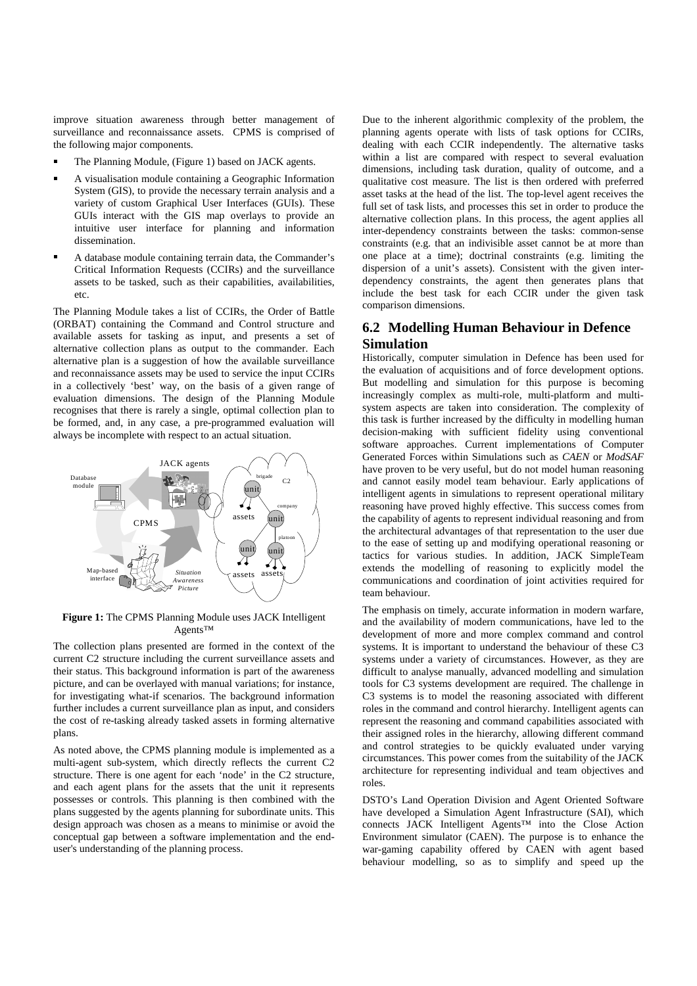improve situation awareness through better management of surveillance and reconnaissance assets. CPMS is comprised of the following major components.

- The Planning Module, (Figure 1) based on JACK agents.
- A visualisation module containing a Geographic Information System (GIS), to provide the necessary terrain analysis and a variety of custom Graphical User Interfaces (GUIs). These GUIs interact with the GIS map overlays to provide an intuitive user interface for planning and information dissemination.
- A database module containing terrain data, the Commander's Critical Information Requests (CCIRs) and the surveillance assets to be tasked, such as their capabilities, availabilities, etc.

The Planning Module takes a list of CCIRs, the Order of Battle (ORBAT) containing the Command and Control structure and available assets for tasking as input, and presents a set of alternative collection plans as output to the commander. Each alternative plan is a suggestion of how the available surveillance and reconnaissance assets may be used to service the input CCIRs in a collectively 'best' way, on the basis of a given range of evaluation dimensions. The design of the Planning Module recognises that there is rarely a single, optimal collection plan to be formed, and, in any case, a pre-programmed evaluation will always be incomplete with respect to an actual situation.



**Figure 1:** The CPMS Planning Module uses JACK Intelligent Agents™

The collection plans presented are formed in the context of the current C2 structure including the current surveillance assets and their status. This background information is part of the awareness picture, and can be overlayed with manual variations; for instance, for investigating what-if scenarios. The background information further includes a current surveillance plan as input, and considers the cost of re-tasking already tasked assets in forming alternative plans.

As noted above, the CPMS planning module is implemented as a multi-agent sub-system, which directly reflects the current C2 structure. There is one agent for each 'node' in the C2 structure, and each agent plans for the assets that the unit it represents possesses or controls. This planning is then combined with the plans suggested by the agents planning for subordinate units. This design approach was chosen as a means to minimise or avoid the conceptual gap between a software implementation and the enduser's understanding of the planning process.

Due to the inherent algorithmic complexity of the problem, the planning agents operate with lists of task options for CCIRs, dealing with each CCIR independently. The alternative tasks within a list are compared with respect to several evaluation dimensions, including task duration, quality of outcome, and a qualitative cost measure. The list is then ordered with preferred asset tasks at the head of the list. The top-level agent receives the full set of task lists, and processes this set in order to produce the alternative collection plans. In this process, the agent applies all inter-dependency constraints between the tasks: common-sense constraints (e.g. that an indivisible asset cannot be at more than one place at a time); doctrinal constraints (e.g. limiting the dispersion of a unit's assets). Consistent with the given interdependency constraints, the agent then generates plans that include the best task for each CCIR under the given task comparison dimensions.

# **6.2 Modelling Human Behaviour in Defence Simulation**

Historically, computer simulation in Defence has been used for the evaluation of acquisitions and of force development options. But modelling and simulation for this purpose is becoming increasingly complex as multi-role, multi-platform and multisystem aspects are taken into consideration. The complexity of this task is further increased by the difficulty in modelling human decision-making with sufficient fidelity using conventional software approaches. Current implementations of Computer Generated Forces within Simulations such as *CAEN* or *ModSAF* have proven to be very useful, but do not model human reasoning and cannot easily model team behaviour. Early applications of intelligent agents in simulations to represent operational military reasoning have proved highly effective. This success comes from the capability of agents to represent individual reasoning and from the architectural advantages of that representation to the user due to the ease of setting up and modifying operational reasoning or tactics for various studies. In addition, JACK SimpleTeam extends the modelling of reasoning to explicitly model the communications and coordination of joint activities required for team behaviour.

The emphasis on timely, accurate information in modern warfare, and the availability of modern communications, have led to the development of more and more complex command and control systems. It is important to understand the behaviour of these C3 systems under a variety of circumstances. However, as they are difficult to analyse manually, advanced modelling and simulation tools for C3 systems development are required. The challenge in C3 systems is to model the reasoning associated with different roles in the command and control hierarchy. Intelligent agents can represent the reasoning and command capabilities associated with their assigned roles in the hierarchy, allowing different command and control strategies to be quickly evaluated under varying circumstances. This power comes from the suitability of the JACK architecture for representing individual and team objectives and roles.

DSTO's Land Operation Division and Agent Oriented Software have developed a Simulation Agent Infrastructure (SAI), which connects JACK Intelligent Agents™ into the Close Action Environment simulator (CAEN). The purpose is to enhance the war-gaming capability offered by CAEN with agent based behaviour modelling, so as to simplify and speed up the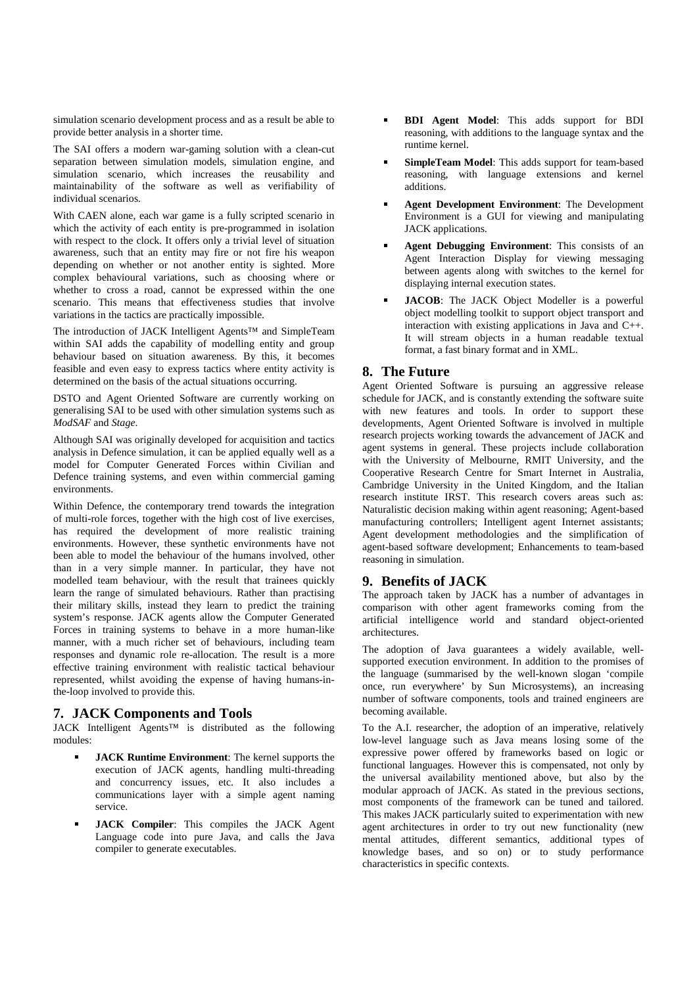simulation scenario development process and as a result be able to provide better analysis in a shorter time.

The SAI offers a modern war-gaming solution with a clean-cut separation between simulation models, simulation engine, and simulation scenario, which increases the reusability and maintainability of the software as well as verifiability of individual scenarios.

With CAEN alone, each war game is a fully scripted scenario in which the activity of each entity is pre-programmed in isolation with respect to the clock. It offers only a trivial level of situation awareness, such that an entity may fire or not fire his weapon depending on whether or not another entity is sighted. More complex behavioural variations, such as choosing where or whether to cross a road, cannot be expressed within the one scenario. This means that effectiveness studies that involve variations in the tactics are practically impossible.

The introduction of JACK Intelligent Agents™ and SimpleTeam within SAI adds the capability of modelling entity and group behaviour based on situation awareness. By this, it becomes feasible and even easy to express tactics where entity activity is determined on the basis of the actual situations occurring.

DSTO and Agent Oriented Software are currently working on generalising SAI to be used with other simulation systems such as *ModSAF* and *Stage*.

Although SAI was originally developed for acquisition and tactics analysis in Defence simulation, it can be applied equally well as a model for Computer Generated Forces within Civilian and Defence training systems, and even within commercial gaming environments.

Within Defence, the contemporary trend towards the integration of multi-role forces, together with the high cost of live exercises, has required the development of more realistic training environments. However, these synthetic environments have not been able to model the behaviour of the humans involved, other than in a very simple manner. In particular, they have not modelled team behaviour, with the result that trainees quickly learn the range of simulated behaviours. Rather than practising their military skills, instead they learn to predict the training system's response. JACK agents allow the Computer Generated Forces in training systems to behave in a more human-like manner, with a much richer set of behaviours, including team responses and dynamic role re-allocation. The result is a more effective training environment with realistic tactical behaviour represented, whilst avoiding the expense of having humans-inthe-loop involved to provide this.

## **7. JACK Components and Tools**

JACK Intelligent Agents™ is distributed as the following modules:

- **JACK Runtime Environment:** The kernel supports the execution of JACK agents, handling multi-threading and concurrency issues, etc. It also includes a communications layer with a simple agent naming service.
- **JACK Compiler**: This compiles the JACK Agent Language code into pure Java, and calls the Java compiler to generate executables.
- **BDI Agent Model**: This adds support for BDI reasoning, with additions to the language syntax and the runtime kernel.
- **SimpleTeam Model:** This adds support for team-based reasoning, with language extensions and kernel additions.
- **Agent Development Environment**: The Development Environment is a GUI for viewing and manipulating JACK applications.
- **Agent Debugging Environment**: This consists of an Agent Interaction Display for viewing messaging between agents along with switches to the kernel for displaying internal execution states.
- **JACOB**: The JACK Object Modeller is a powerful object modelling toolkit to support object transport and interaction with existing applications in Java and C++. It will stream objects in a human readable textual format, a fast binary format and in XML.

## **8. The Future**

Agent Oriented Software is pursuing an aggressive release schedule for JACK, and is constantly extending the software suite with new features and tools. In order to support these developments, Agent Oriented Software is involved in multiple research projects working towards the advancement of JACK and agent systems in general. These projects include collaboration with the University of Melbourne, RMIT University, and the Cooperative Research Centre for Smart Internet in Australia, Cambridge University in the United Kingdom, and the Italian research institute IRST. This research covers areas such as: Naturalistic decision making within agent reasoning; Agent-based manufacturing controllers; Intelligent agent Internet assistants; Agent development methodologies and the simplification of agent-based software development; Enhancements to team-based reasoning in simulation.

## **9. Benefits of JACK**

The approach taken by JACK has a number of advantages in comparison with other agent frameworks coming from the artificial intelligence world and standard object-oriented architectures.

The adoption of Java guarantees a widely available, wellsupported execution environment. In addition to the promises of the language (summarised by the well-known slogan 'compile once, run everywhere' by Sun Microsystems), an increasing number of software components, tools and trained engineers are becoming available.

To the A.I. researcher, the adoption of an imperative, relatively low-level language such as Java means losing some of the expressive power offered by frameworks based on logic or functional languages. However this is compensated, not only by the universal availability mentioned above, but also by the modular approach of JACK. As stated in the previous sections, most components of the framework can be tuned and tailored. This makes JACK particularly suited to experimentation with new agent architectures in order to try out new functionality (new mental attitudes, different semantics, additional types of knowledge bases, and so on) or to study performance characteristics in specific contexts.